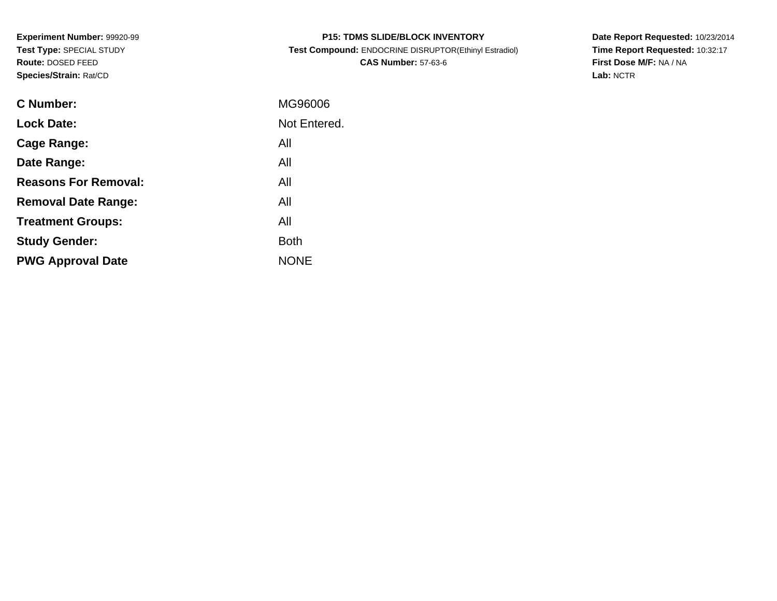**Experiment Number:** 99920-99**Test Type:** SPECIAL STUDY**Route:** DOSED FEED**Species/Strain:** Rat/CD

| <b>P15: TDMS SLIDE/BLOCK INVENTORY</b>                |
|-------------------------------------------------------|
| Test Compound: ENDOCRINE DISRUPTOR(Ethinyl Estradiol) |
| <b>CAS Number: 57-63-6</b>                            |

**Date Report Requested:** 10/23/2014 **Time Report Requested:** 10:32:17**First Dose M/F:** NA / NA**Lab:** NCTR

| C Number:                   | MG96006      |
|-----------------------------|--------------|
| <b>Lock Date:</b>           | Not Entered. |
| Cage Range:                 | All          |
| Date Range:                 | All          |
| <b>Reasons For Removal:</b> | All          |
| <b>Removal Date Range:</b>  | All          |
| <b>Treatment Groups:</b>    | All          |
| <b>Study Gender:</b>        | <b>Both</b>  |
| <b>PWG Approval Date</b>    | <b>NONE</b>  |
|                             |              |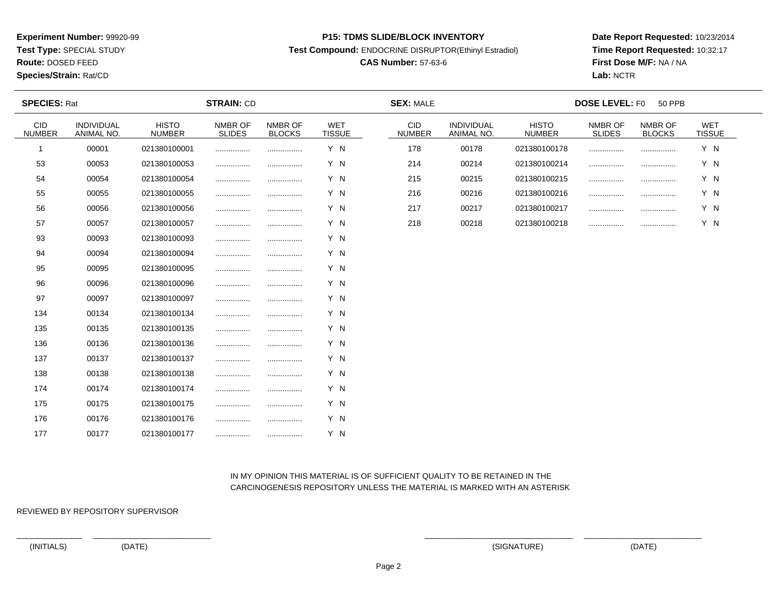**Test Type:** SPECIAL STUDY

**Route:** DOSED FEED

**Species/Strain:** Rat/CD

#### **P15: TDMS SLIDE/BLOCK INVENTORY**

**Test Compound:** ENDOCRINE DISRUPTOR(Ethinyl Estradiol)

# **CAS Number:** 57-63-6

**Date Report Requested:** 10/23/2014**Time Report Requested:** 10:32:17**First Dose M/F:** NA / NA**Lab:** NCTR

| <b>SPECIES: Rat</b>         |                          |                               | <b>STRAIN: CD</b>        |                          |                             | <b>SEX: MALE</b>            |                          | <b>DOSE LEVEL: F0</b><br><b>50 PPB</b> |                          |                          |                             |  |  |  |
|-----------------------------|--------------------------|-------------------------------|--------------------------|--------------------------|-----------------------------|-----------------------------|--------------------------|----------------------------------------|--------------------------|--------------------------|-----------------------------|--|--|--|
| <b>CID</b><br><b>NUMBER</b> | INDIVIDUAL<br>ANIMAL NO. | <b>HISTO</b><br><b>NUMBER</b> | NMBR OF<br><b>SLIDES</b> | NMBR OF<br><b>BLOCKS</b> | <b>WET</b><br><b>TISSUE</b> | <b>CID</b><br><b>NUMBER</b> | INDIVIDUAL<br>ANIMAL NO. | <b>HISTO</b><br><b>NUMBER</b>          | NMBR OF<br><b>SLIDES</b> | NMBR OF<br><b>BLOCKS</b> | <b>WET</b><br><b>TISSUE</b> |  |  |  |
| -1                          | 00001                    | 021380100001                  |                          |                          | Y N                         | 178                         | 00178                    | 021380100178                           |                          |                          | Y N                         |  |  |  |
| 53                          | 00053                    | 021380100053                  |                          | .                        | Y N                         | 214                         | 00214                    | 021380100214                           |                          |                          | Y N                         |  |  |  |
| 54                          | 00054                    | 021380100054                  |                          |                          | Y N                         | 215                         | 00215                    | 021380100215                           |                          |                          | Y N                         |  |  |  |
| 55                          | 00055                    | 021380100055                  |                          |                          | Y N                         | 216                         | 00216                    | 021380100216                           |                          |                          | Y N                         |  |  |  |
| 56                          | 00056                    | 021380100056                  |                          |                          | Y N                         | 217                         | 00217                    | 021380100217                           |                          |                          | Y N                         |  |  |  |
| 57                          | 00057                    | 021380100057                  |                          |                          | Y N                         | 218                         | 00218                    | 021380100218                           |                          |                          | Y N                         |  |  |  |
| 93                          | 00093                    | 021380100093                  |                          |                          | Y N                         |                             |                          |                                        |                          |                          |                             |  |  |  |
| 94                          | 00094                    | 021380100094                  |                          |                          | Y N                         |                             |                          |                                        |                          |                          |                             |  |  |  |
| 95                          | 00095                    | 021380100095                  |                          |                          | Y N                         |                             |                          |                                        |                          |                          |                             |  |  |  |
| 96                          | 00096                    | 021380100096                  | .                        |                          | Y N                         |                             |                          |                                        |                          |                          |                             |  |  |  |
| 97                          | 00097                    | 021380100097                  |                          |                          | Y N                         |                             |                          |                                        |                          |                          |                             |  |  |  |
| 134                         | 00134                    | 021380100134                  |                          |                          | Y N                         |                             |                          |                                        |                          |                          |                             |  |  |  |
| 135                         | 00135                    | 021380100135                  |                          |                          | Y N                         |                             |                          |                                        |                          |                          |                             |  |  |  |
| 136                         | 00136                    | 021380100136                  |                          |                          | Y N                         |                             |                          |                                        |                          |                          |                             |  |  |  |
| 137                         | 00137                    | 021380100137                  |                          |                          | Y N                         |                             |                          |                                        |                          |                          |                             |  |  |  |
| 138                         | 00138                    | 021380100138                  |                          |                          | Y N                         |                             |                          |                                        |                          |                          |                             |  |  |  |
| 174                         | 00174                    | 021380100174                  | .                        |                          | Y N                         |                             |                          |                                        |                          |                          |                             |  |  |  |
| 175                         | 00175                    | 021380100175                  |                          |                          | Y N                         |                             |                          |                                        |                          |                          |                             |  |  |  |
| 176                         | 00176                    | 021380100176                  | .                        |                          | Y N                         |                             |                          |                                        |                          |                          |                             |  |  |  |
| 177                         | 00177                    | 021380100177                  |                          |                          | Y N                         |                             |                          |                                        |                          |                          |                             |  |  |  |

## IN MY OPINION THIS MATERIAL IS OF SUFFICIENT QUALITY TO BE RETAINED IN THECARCINOGENESIS REPOSITORY UNLESS THE MATERIAL IS MARKED WITH AN ASTERISK

REVIEWED BY REPOSITORY SUPERVISOR

(INITIALS) (DATE) (SIGNATURE) (DATE)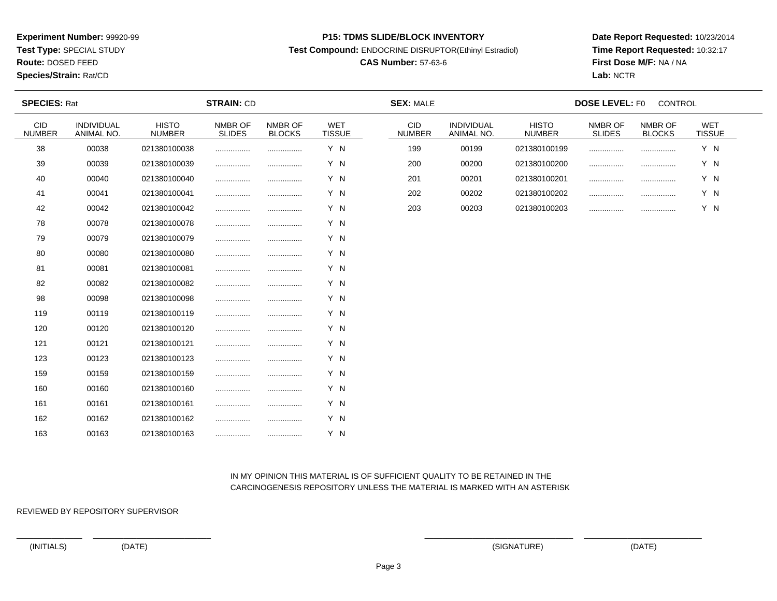**Test Type:** SPECIAL STUDY

# **Route:** DOSED FEED

**Species/Strain:** Rat/CD

#### **P15: TDMS SLIDE/BLOCK INVENTORY**

**Test Compound:** ENDOCRINE DISRUPTOR(Ethinyl Estradiol)

# **CAS Number:** 57-63-6

**Date Report Requested:** 10/23/2014**Time Report Requested:** 10:32:17**First Dose M/F:** NA / NA**Lab:** NCTR

| <b>SPECIES: Rat</b>         |                          |                               | <b>STRAIN: CD</b>        |                          |                             | <b>SEX: MALE</b>            |                          | <b>DOSE LEVEL: F0</b><br>CONTROL |                          |                          |                             |  |  |
|-----------------------------|--------------------------|-------------------------------|--------------------------|--------------------------|-----------------------------|-----------------------------|--------------------------|----------------------------------|--------------------------|--------------------------|-----------------------------|--|--|
| <b>CID</b><br><b>NUMBER</b> | INDIVIDUAL<br>ANIMAL NO. | <b>HISTO</b><br><b>NUMBER</b> | NMBR OF<br><b>SLIDES</b> | NMBR OF<br><b>BLOCKS</b> | <b>WET</b><br><b>TISSUE</b> | <b>CID</b><br><b>NUMBER</b> | INDIVIDUAL<br>ANIMAL NO. | <b>HISTO</b><br><b>NUMBER</b>    | NMBR OF<br><b>SLIDES</b> | NMBR OF<br><b>BLOCKS</b> | <b>WET</b><br><b>TISSUE</b> |  |  |
| 38                          | 00038                    | 021380100038                  |                          |                          | Y N                         | 199                         | 00199                    | 021380100199                     |                          |                          | Y N                         |  |  |
| 39                          | 00039                    | 021380100039                  |                          |                          | Y N                         | 200                         | 00200                    | 021380100200                     |                          | .                        | Y N                         |  |  |
| 40                          | 00040                    | 021380100040                  |                          |                          | Y N                         | 201                         | 00201                    | 021380100201                     |                          |                          | Y N                         |  |  |
| 41                          | 00041                    | 021380100041                  |                          |                          | Y N                         | 202                         | 00202                    | 021380100202                     |                          |                          | Y N                         |  |  |
| 42                          | 00042                    | 021380100042                  |                          |                          | Y N                         | 203                         | 00203                    | 021380100203                     |                          |                          | Y N                         |  |  |
| 78                          | 00078                    | 021380100078                  |                          |                          | Y N                         |                             |                          |                                  |                          |                          |                             |  |  |
| 79                          | 00079                    | 021380100079                  |                          |                          | Y N                         |                             |                          |                                  |                          |                          |                             |  |  |
| 80                          | 00080                    | 021380100080                  |                          |                          | Y N                         |                             |                          |                                  |                          |                          |                             |  |  |
| 81                          | 00081                    | 021380100081                  | .                        | .                        | Y N                         |                             |                          |                                  |                          |                          |                             |  |  |
| 82                          | 00082                    | 021380100082                  | .                        |                          | Y N                         |                             |                          |                                  |                          |                          |                             |  |  |
| 98                          | 00098                    | 021380100098                  |                          |                          | Y N                         |                             |                          |                                  |                          |                          |                             |  |  |
| 119                         | 00119                    | 021380100119                  |                          | .                        | Y N                         |                             |                          |                                  |                          |                          |                             |  |  |
| 120                         | 00120                    | 021380100120                  |                          |                          | Y N                         |                             |                          |                                  |                          |                          |                             |  |  |
| 121                         | 00121                    | 021380100121                  |                          |                          | Y N                         |                             |                          |                                  |                          |                          |                             |  |  |
| 123                         | 00123                    | 021380100123                  |                          |                          | Y N                         |                             |                          |                                  |                          |                          |                             |  |  |
| 159                         | 00159                    | 021380100159                  |                          |                          | Y N                         |                             |                          |                                  |                          |                          |                             |  |  |
| 160                         | 00160                    | 021380100160                  |                          |                          | Y N                         |                             |                          |                                  |                          |                          |                             |  |  |
| 161                         | 00161                    | 021380100161                  | .                        |                          | Y N                         |                             |                          |                                  |                          |                          |                             |  |  |
| 162                         | 00162                    | 021380100162                  |                          | .                        | Y N                         |                             |                          |                                  |                          |                          |                             |  |  |
| 163                         | 00163                    | 021380100163                  |                          | .                        | Y N                         |                             |                          |                                  |                          |                          |                             |  |  |

## IN MY OPINION THIS MATERIAL IS OF SUFFICIENT QUALITY TO BE RETAINED IN THECARCINOGENESIS REPOSITORY UNLESS THE MATERIAL IS MARKED WITH AN ASTERISK

REVIEWED BY REPOSITORY SUPERVISOR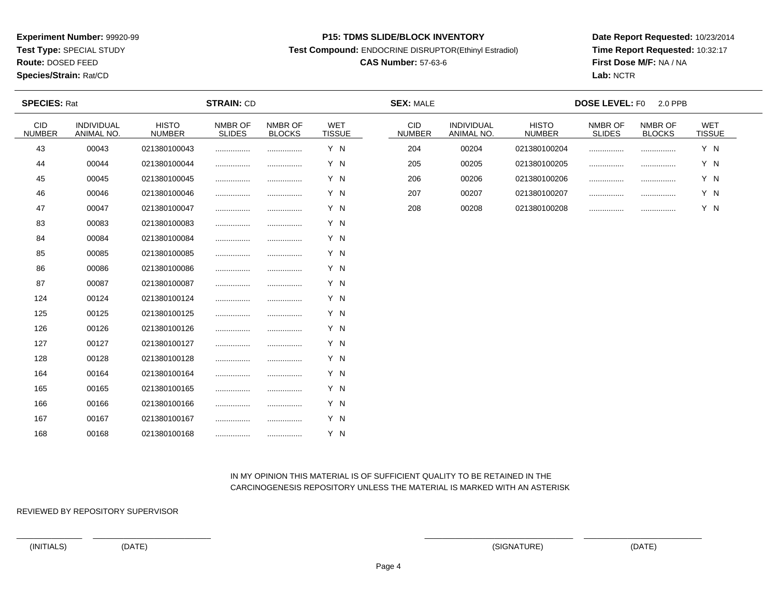**Test Type:** SPECIAL STUDY

**Route:** DOSED FEED

#### **Species/Strain:** Rat/CD

#### **P15: TDMS SLIDE/BLOCK INVENTORY**

**Test Compound:** ENDOCRINE DISRUPTOR(Ethinyl Estradiol)

# **CAS Number:** 57-63-6

**Date Report Requested:** 10/23/2014**Time Report Requested:** 10:32:17**First Dose M/F:** NA / NA**Lab:** NCTR

| <b>SPECIES: Rat</b>         | <b>STRAIN: CD</b>               |                               |                          |                          |                             | <b>SEX: MALE</b>            |                          |                               | <b>DOSE LEVEL: F0</b>    | 2.0 PPB                  |                             |  |
|-----------------------------|---------------------------------|-------------------------------|--------------------------|--------------------------|-----------------------------|-----------------------------|--------------------------|-------------------------------|--------------------------|--------------------------|-----------------------------|--|
| <b>CID</b><br><b>NUMBER</b> | <b>INDIVIDUAL</b><br>ANIMAL NO. | <b>HISTO</b><br><b>NUMBER</b> | NMBR OF<br><b>SLIDES</b> | NMBR OF<br><b>BLOCKS</b> | <b>WET</b><br><b>TISSUE</b> | <b>CID</b><br><b>NUMBER</b> | INDIVIDUAL<br>ANIMAL NO. | <b>HISTO</b><br><b>NUMBER</b> | NMBR OF<br><b>SLIDES</b> | NMBR OF<br><b>BLOCKS</b> | <b>WET</b><br><b>TISSUE</b> |  |
| 43                          | 00043                           | 021380100043                  |                          |                          | Y N                         | 204                         | 00204                    | 021380100204                  | .                        |                          | Y N                         |  |
| 44                          | 00044                           | 021380100044                  |                          |                          | Y N                         | 205                         | 00205                    | 021380100205                  |                          |                          | Y N                         |  |
| 45                          | 00045                           | 021380100045                  |                          |                          | Y N                         | 206                         | 00206                    | 021380100206                  | .                        |                          | Y N                         |  |
| 46                          | 00046                           | 021380100046                  |                          |                          | Y N                         | 207                         | 00207                    | 021380100207                  | .                        |                          | Y N                         |  |
| 47                          | 00047                           | 021380100047                  |                          |                          | Y N                         | 208                         | 00208                    | 021380100208                  |                          |                          | Y N                         |  |
| 83                          | 00083                           | 021380100083                  |                          |                          | Y N                         |                             |                          |                               |                          |                          |                             |  |
| 84                          | 00084                           | 021380100084                  |                          |                          | Y N                         |                             |                          |                               |                          |                          |                             |  |
| 85                          | 00085                           | 021380100085                  |                          |                          | Y N                         |                             |                          |                               |                          |                          |                             |  |
| 86                          | 00086                           | 021380100086                  |                          |                          | Y N                         |                             |                          |                               |                          |                          |                             |  |
| 87                          | 00087                           | 021380100087                  |                          |                          | Y N                         |                             |                          |                               |                          |                          |                             |  |
| 124                         | 00124                           | 021380100124                  |                          |                          | Y N                         |                             |                          |                               |                          |                          |                             |  |
| 125                         | 00125                           | 021380100125                  |                          |                          | Y N                         |                             |                          |                               |                          |                          |                             |  |
| 126                         | 00126                           | 021380100126                  |                          |                          | Y N                         |                             |                          |                               |                          |                          |                             |  |
| 127                         | 00127                           | 021380100127                  |                          |                          | Y N                         |                             |                          |                               |                          |                          |                             |  |
| 128                         | 00128                           | 021380100128                  |                          |                          | Y N                         |                             |                          |                               |                          |                          |                             |  |
| 164                         | 00164                           | 021380100164                  |                          |                          | Y N                         |                             |                          |                               |                          |                          |                             |  |
| 165                         | 00165                           | 021380100165                  |                          |                          | Y N                         |                             |                          |                               |                          |                          |                             |  |
| 166                         | 00166                           | 021380100166                  |                          |                          | Y N                         |                             |                          |                               |                          |                          |                             |  |
| 167                         | 00167                           | 021380100167                  |                          |                          | Y N                         |                             |                          |                               |                          |                          |                             |  |
| 168                         | 00168                           | 021380100168                  |                          |                          | Y N                         |                             |                          |                               |                          |                          |                             |  |

## IN MY OPINION THIS MATERIAL IS OF SUFFICIENT QUALITY TO BE RETAINED IN THECARCINOGENESIS REPOSITORY UNLESS THE MATERIAL IS MARKED WITH AN ASTERISK

REVIEWED BY REPOSITORY SUPERVISOR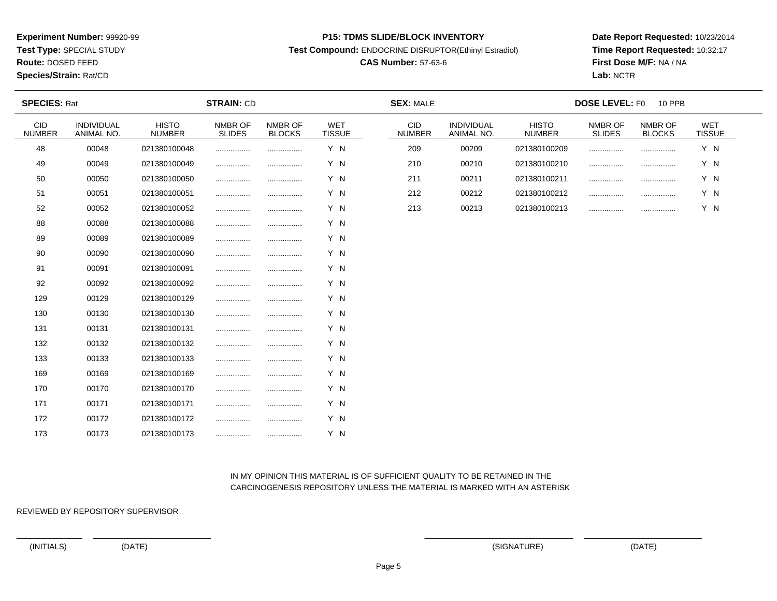**Test Type:** SPECIAL STUDY

# **Route:** DOSED FEED

**Species/Strain:** Rat/CD

#### **P15: TDMS SLIDE/BLOCK INVENTORY**

**Test Compound:** ENDOCRINE DISRUPTOR(Ethinyl Estradiol)

# **CAS Number:** 57-63-6

**Date Report Requested:** 10/23/2014**Time Report Requested:** 10:32:17**First Dose M/F:** NA / NA**Lab:** NCTR

| <b>SPECIES: Rat</b>         |                                 | <b>STRAIN: CD</b>             |                          |                          |                             | <b>SEX: MALE</b>            |                          |                               | <b>DOSE LEVEL: F0</b><br><b>10 PPB</b> |                          |                             |  |
|-----------------------------|---------------------------------|-------------------------------|--------------------------|--------------------------|-----------------------------|-----------------------------|--------------------------|-------------------------------|----------------------------------------|--------------------------|-----------------------------|--|
| <b>CID</b><br><b>NUMBER</b> | <b>INDIVIDUAL</b><br>ANIMAL NO. | <b>HISTO</b><br><b>NUMBER</b> | NMBR OF<br><b>SLIDES</b> | NMBR OF<br><b>BLOCKS</b> | <b>WET</b><br><b>TISSUE</b> | <b>CID</b><br><b>NUMBER</b> | INDIVIDUAL<br>ANIMAL NO. | <b>HISTO</b><br><b>NUMBER</b> | NMBR OF<br><b>SLIDES</b>               | NMBR OF<br><b>BLOCKS</b> | <b>WET</b><br><b>TISSUE</b> |  |
| 48                          | 00048                           | 021380100048                  |                          |                          | Y N                         | 209                         | 00209                    | 021380100209                  |                                        | .                        | Y N                         |  |
| 49                          | 00049                           | 021380100049                  |                          |                          | Y N                         | 210                         | 00210                    | 021380100210                  |                                        |                          | Y N                         |  |
| 50                          | 00050                           | 021380100050                  |                          |                          | Y N                         | 211                         | 00211                    | 021380100211                  |                                        |                          | Y N                         |  |
| 51                          | 00051                           | 021380100051                  |                          |                          | Y N                         | 212                         | 00212                    | 021380100212                  |                                        |                          | Y N                         |  |
| 52                          | 00052                           | 021380100052                  |                          |                          | Y N                         | 213                         | 00213                    | 021380100213                  |                                        |                          | Y N                         |  |
| 88                          | 00088                           | 021380100088                  |                          |                          | Y N                         |                             |                          |                               |                                        |                          |                             |  |
| 89                          | 00089                           | 021380100089                  |                          |                          | Y N                         |                             |                          |                               |                                        |                          |                             |  |
| 90                          | 00090                           | 021380100090                  |                          |                          | Y N                         |                             |                          |                               |                                        |                          |                             |  |
| 91                          | 00091                           | 021380100091                  |                          |                          | Y N                         |                             |                          |                               |                                        |                          |                             |  |
| 92                          | 00092                           | 021380100092                  |                          |                          | Y N                         |                             |                          |                               |                                        |                          |                             |  |
| 129                         | 00129                           | 021380100129                  |                          | .                        | Y N                         |                             |                          |                               |                                        |                          |                             |  |
| 130                         | 00130                           | 021380100130                  |                          |                          | Y N                         |                             |                          |                               |                                        |                          |                             |  |
| 131                         | 00131                           | 021380100131                  |                          | .                        | Y N                         |                             |                          |                               |                                        |                          |                             |  |
| 132                         | 00132                           | 021380100132                  |                          |                          | Y N                         |                             |                          |                               |                                        |                          |                             |  |
| 133                         | 00133                           | 021380100133                  |                          |                          | Y N                         |                             |                          |                               |                                        |                          |                             |  |
| 169                         | 00169                           | 021380100169                  |                          |                          | Y N                         |                             |                          |                               |                                        |                          |                             |  |
| 170                         | 00170                           | 021380100170                  |                          |                          | Y N                         |                             |                          |                               |                                        |                          |                             |  |
| 171                         | 00171                           | 021380100171                  |                          |                          | Y N                         |                             |                          |                               |                                        |                          |                             |  |
| 172                         | 00172                           | 021380100172                  |                          |                          | Y N                         |                             |                          |                               |                                        |                          |                             |  |
| 173                         | 00173                           | 021380100173                  |                          | .                        | Y N                         |                             |                          |                               |                                        |                          |                             |  |

## IN MY OPINION THIS MATERIAL IS OF SUFFICIENT QUALITY TO BE RETAINED IN THECARCINOGENESIS REPOSITORY UNLESS THE MATERIAL IS MARKED WITH AN ASTERISK

REVIEWED BY REPOSITORY SUPERVISOR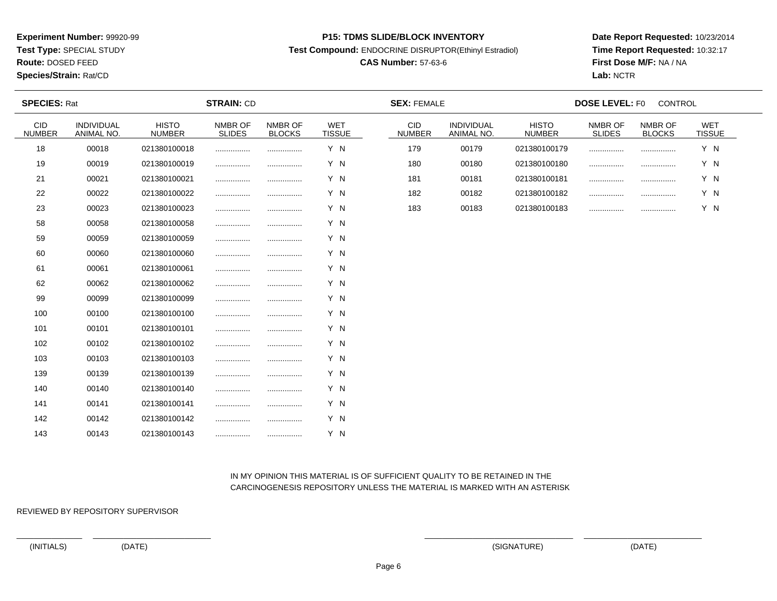**Test Type:** SPECIAL STUDY

**Route:** DOSED FEED

**Species/Strain:** Rat/CD

#### **P15: TDMS SLIDE/BLOCK INVENTORY**

**Test Compound:** ENDOCRINE DISRUPTOR(Ethinyl Estradiol)

# **CAS Number:** 57-63-6

**Date Report Requested:** 10/23/2014**Time Report Requested:** 10:32:17**First Dose M/F:** NA / NA**Lab:** NCTR

| <b>SPECIES: Rat</b>         |                          |                               | <b>STRAIN: CD</b>        |                          |                             | <b>SEX: FEMALE</b>          |                          | <b>DOSE LEVEL: F0</b><br>CONTROL |                          |                          |                             |  |  |  |
|-----------------------------|--------------------------|-------------------------------|--------------------------|--------------------------|-----------------------------|-----------------------------|--------------------------|----------------------------------|--------------------------|--------------------------|-----------------------------|--|--|--|
| <b>CID</b><br><b>NUMBER</b> | INDIVIDUAL<br>ANIMAL NO. | <b>HISTO</b><br><b>NUMBER</b> | NMBR OF<br><b>SLIDES</b> | NMBR OF<br><b>BLOCKS</b> | <b>WET</b><br><b>TISSUE</b> | <b>CID</b><br><b>NUMBER</b> | INDIVIDUAL<br>ANIMAL NO. | <b>HISTO</b><br><b>NUMBER</b>    | NMBR OF<br><b>SLIDES</b> | NMBR OF<br><b>BLOCKS</b> | <b>WET</b><br><b>TISSUE</b> |  |  |  |
| 18                          | 00018                    | 021380100018                  |                          |                          | Y N                         | 179                         | 00179                    | 021380100179                     | .                        |                          | Y N                         |  |  |  |
| 19                          | 00019                    | 021380100019                  |                          |                          | Y N                         | 180                         | 00180                    | 021380100180                     |                          | .                        | Y N                         |  |  |  |
| 21                          | 00021                    | 021380100021                  |                          |                          | Y N                         | 181                         | 00181                    | 021380100181                     |                          |                          | Y N                         |  |  |  |
| 22                          | 00022                    | 021380100022                  |                          |                          | Y N                         | 182                         | 00182                    | 021380100182                     |                          |                          | Y N                         |  |  |  |
| 23                          | 00023                    | 021380100023                  | .                        |                          | Y N                         | 183                         | 00183                    | 021380100183                     |                          |                          | Y N                         |  |  |  |
| 58                          | 00058                    | 021380100058                  | .                        |                          | Y N                         |                             |                          |                                  |                          |                          |                             |  |  |  |
| 59                          | 00059                    | 021380100059                  |                          |                          | Y N                         |                             |                          |                                  |                          |                          |                             |  |  |  |
| 60                          | 00060                    | 021380100060                  |                          |                          | Y N                         |                             |                          |                                  |                          |                          |                             |  |  |  |
| 61                          | 00061                    | 021380100061                  |                          |                          | Y N                         |                             |                          |                                  |                          |                          |                             |  |  |  |
| 62                          | 00062                    | 021380100062                  |                          |                          | Y N                         |                             |                          |                                  |                          |                          |                             |  |  |  |
| 99                          | 00099                    | 021380100099                  |                          |                          | Y N                         |                             |                          |                                  |                          |                          |                             |  |  |  |
| 100                         | 00100                    | 021380100100                  | .                        | .                        | Y N                         |                             |                          |                                  |                          |                          |                             |  |  |  |
| 101                         | 00101                    | 021380100101                  |                          |                          | Y N                         |                             |                          |                                  |                          |                          |                             |  |  |  |
| 102                         | 00102                    | 021380100102                  |                          |                          | Y N                         |                             |                          |                                  |                          |                          |                             |  |  |  |
| 103                         | 00103                    | 021380100103                  |                          |                          | Y N                         |                             |                          |                                  |                          |                          |                             |  |  |  |
| 139                         | 00139                    | 021380100139                  | .                        |                          | Y N                         |                             |                          |                                  |                          |                          |                             |  |  |  |
| 140                         | 00140                    | 021380100140                  | .                        |                          | Y N                         |                             |                          |                                  |                          |                          |                             |  |  |  |
| 141                         | 00141                    | 021380100141                  |                          |                          | Y N                         |                             |                          |                                  |                          |                          |                             |  |  |  |
| 142                         | 00142                    | 021380100142                  | .                        |                          | Y N                         |                             |                          |                                  |                          |                          |                             |  |  |  |
| 143                         | 00143                    | 021380100143                  |                          |                          | Y N                         |                             |                          |                                  |                          |                          |                             |  |  |  |

## IN MY OPINION THIS MATERIAL IS OF SUFFICIENT QUALITY TO BE RETAINED IN THECARCINOGENESIS REPOSITORY UNLESS THE MATERIAL IS MARKED WITH AN ASTERISK

REVIEWED BY REPOSITORY SUPERVISOR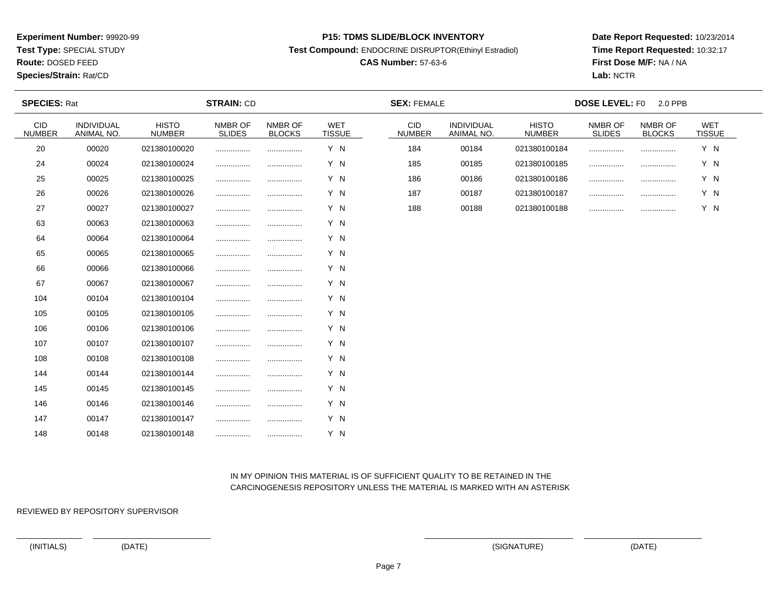**Test Type:** SPECIAL STUDY

**Route:** DOSED FEED

#### **Species/Strain:** Rat/CD

#### **P15: TDMS SLIDE/BLOCK INVENTORY**

**Test Compound:** ENDOCRINE DISRUPTOR(Ethinyl Estradiol)

# **CAS Number:** 57-63-6

**Date Report Requested:** 10/23/2014**Time Report Requested:** 10:32:17**First Dose M/F:** NA / NA**Lab:** NCTR

| <b>SPECIES: Rat</b>   |                                 |                               | <b>STRAIN: CD</b>        |                          |                             | <b>SEX: FEMALE</b>          |                                 | <b>DOSE LEVEL: FO</b><br>2.0 PPB |                          |                          |                             |  |
|-----------------------|---------------------------------|-------------------------------|--------------------------|--------------------------|-----------------------------|-----------------------------|---------------------------------|----------------------------------|--------------------------|--------------------------|-----------------------------|--|
| CID.<br><b>NUMBER</b> | <b>INDIVIDUAL</b><br>ANIMAL NO. | <b>HISTO</b><br><b>NUMBER</b> | NMBR OF<br><b>SLIDES</b> | NMBR OF<br><b>BLOCKS</b> | <b>WET</b><br><b>TISSUE</b> | <b>CID</b><br><b>NUMBER</b> | <b>INDIVIDUAL</b><br>ANIMAL NO. | <b>HISTO</b><br><b>NUMBER</b>    | NMBR OF<br><b>SLIDES</b> | NMBR OF<br><b>BLOCKS</b> | <b>WET</b><br><b>TISSUE</b> |  |
| 20                    | 00020                           | 021380100020                  |                          |                          | Y N                         | 184                         | 00184                           | 021380100184                     |                          |                          | Y N                         |  |
| 24                    | 00024                           | 021380100024                  |                          |                          | Y N                         | 185                         | 00185                           | 021380100185                     |                          |                          | Y N                         |  |
| 25                    | 00025                           | 021380100025                  |                          |                          | Y N                         | 186                         | 00186                           | 021380100186                     |                          |                          | Y N                         |  |
| 26                    | 00026                           | 021380100026                  |                          |                          | Y N                         | 187                         | 00187                           | 021380100187                     |                          |                          | Y N                         |  |
| 27                    | 00027                           | 021380100027                  |                          |                          | Y N                         | 188                         | 00188                           | 021380100188                     |                          |                          | Y N                         |  |
| 63                    | 00063                           | 021380100063                  |                          |                          | Y N                         |                             |                                 |                                  |                          |                          |                             |  |
| 64                    | 00064                           | 021380100064                  |                          |                          | Y N                         |                             |                                 |                                  |                          |                          |                             |  |
| 65                    | 00065                           | 021380100065                  |                          |                          | Y N                         |                             |                                 |                                  |                          |                          |                             |  |
| 66                    | 00066                           | 021380100066                  |                          |                          | Y N                         |                             |                                 |                                  |                          |                          |                             |  |
| 67                    | 00067                           | 021380100067                  |                          |                          | Y N                         |                             |                                 |                                  |                          |                          |                             |  |
| 104                   | 00104                           | 021380100104                  |                          |                          | Y N                         |                             |                                 |                                  |                          |                          |                             |  |
| 105                   | 00105                           | 021380100105                  |                          |                          | Y N                         |                             |                                 |                                  |                          |                          |                             |  |
| 106                   | 00106                           | 021380100106                  |                          |                          | Y N                         |                             |                                 |                                  |                          |                          |                             |  |
| 107                   | 00107                           | 021380100107                  |                          |                          | Y N                         |                             |                                 |                                  |                          |                          |                             |  |
| 108                   | 00108                           | 021380100108                  |                          |                          | Y N                         |                             |                                 |                                  |                          |                          |                             |  |
| 144                   | 00144                           | 021380100144                  |                          |                          | Y N                         |                             |                                 |                                  |                          |                          |                             |  |
| 145                   | 00145                           | 021380100145                  |                          |                          | Y N                         |                             |                                 |                                  |                          |                          |                             |  |
| 146                   | 00146                           | 021380100146                  |                          |                          | Y N                         |                             |                                 |                                  |                          |                          |                             |  |
| 147                   | 00147                           | 021380100147                  |                          |                          | Y N                         |                             |                                 |                                  |                          |                          |                             |  |
| 148                   | 00148                           | 021380100148                  |                          |                          | Y N                         |                             |                                 |                                  |                          |                          |                             |  |

## IN MY OPINION THIS MATERIAL IS OF SUFFICIENT QUALITY TO BE RETAINED IN THECARCINOGENESIS REPOSITORY UNLESS THE MATERIAL IS MARKED WITH AN ASTERISK

REVIEWED BY REPOSITORY SUPERVISOR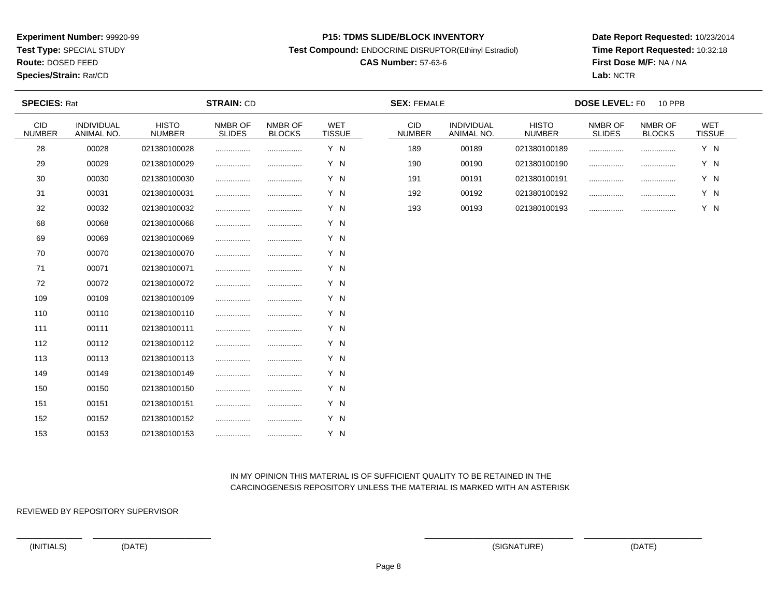**Test Type:** SPECIAL STUDY

**Route:** DOSED FEED

**Species/Strain:** Rat/CD

#### **P15: TDMS SLIDE/BLOCK INVENTORY**

**Test Compound:** ENDOCRINE DISRUPTOR(Ethinyl Estradiol)

# **CAS Number:** 57-63-6

**Date Report Requested:** 10/23/2014**Time Report Requested:** 10:32:18**First Dose M/F:** NA / NA**Lab:** NCTR

| <b>SPECIES: Rat</b>  |                                 | <b>STRAIN: CD</b>             |                          |                          |                             | <b>SEX: FEMALE</b>          |                          | <b>DOSE LEVEL: F0</b><br>10 PPB |                          |                          |                      |
|----------------------|---------------------------------|-------------------------------|--------------------------|--------------------------|-----------------------------|-----------------------------|--------------------------|---------------------------------|--------------------------|--------------------------|----------------------|
| CID<br><b>NUMBER</b> | <b>INDIVIDUAL</b><br>ANIMAL NO. | <b>HISTO</b><br><b>NUMBER</b> | NMBR OF<br><b>SLIDES</b> | NMBR OF<br><b>BLOCKS</b> | <b>WET</b><br><b>TISSUE</b> | <b>CID</b><br><b>NUMBER</b> | INDIVIDUAL<br>ANIMAL NO. | <b>HISTO</b><br><b>NUMBER</b>   | NMBR OF<br><b>SLIDES</b> | NMBR OF<br><b>BLOCKS</b> | WET<br><b>TISSUE</b> |
| 28                   | 00028                           | 021380100028                  | .                        |                          | Y N                         | 189                         | 00189                    | 021380100189                    |                          |                          | Y N                  |
| 29                   | 00029                           | 021380100029                  |                          |                          | Y N                         | 190                         | 00190                    | 021380100190                    |                          |                          | Y N                  |
| 30                   | 00030                           | 021380100030                  |                          |                          | Y N                         | 191                         | 00191                    | 021380100191                    |                          | .                        | Y N                  |
| 31                   | 00031                           | 021380100031                  |                          |                          | Y N                         | 192                         | 00192                    | 021380100192                    |                          |                          | Y N                  |
| 32                   | 00032                           | 021380100032                  | .                        |                          | Y N                         | 193                         | 00193                    | 021380100193                    |                          |                          | Y N                  |
| 68                   | 00068                           | 021380100068                  |                          |                          | Y N                         |                             |                          |                                 |                          |                          |                      |
| 69                   | 00069                           | 021380100069                  |                          | .                        | Y N                         |                             |                          |                                 |                          |                          |                      |
| 70                   | 00070                           | 021380100070                  |                          |                          | Y N                         |                             |                          |                                 |                          |                          |                      |
| 71                   | 00071                           | 021380100071                  |                          |                          | Y N                         |                             |                          |                                 |                          |                          |                      |
| 72                   | 00072                           | 021380100072                  |                          |                          | Y N                         |                             |                          |                                 |                          |                          |                      |
| 109                  | 00109                           | 021380100109                  | .                        |                          | Y N                         |                             |                          |                                 |                          |                          |                      |
| 110                  | 00110                           | 021380100110                  |                          |                          | Y N                         |                             |                          |                                 |                          |                          |                      |
| 111                  | 00111                           | 021380100111                  |                          |                          | Y N                         |                             |                          |                                 |                          |                          |                      |
| 112                  | 00112                           | 021380100112                  |                          |                          | Y N                         |                             |                          |                                 |                          |                          |                      |
| 113                  | 00113                           | 021380100113                  | .                        | .                        | Y N                         |                             |                          |                                 |                          |                          |                      |
| 149                  | 00149                           | 021380100149                  |                          |                          | Y N                         |                             |                          |                                 |                          |                          |                      |
| 150                  | 00150                           | 021380100150                  |                          |                          | Y N                         |                             |                          |                                 |                          |                          |                      |
| 151                  | 00151                           | 021380100151                  | .                        |                          | Y N                         |                             |                          |                                 |                          |                          |                      |
| 152                  | 00152                           | 021380100152                  |                          |                          | Y N                         |                             |                          |                                 |                          |                          |                      |
| 153                  | 00153                           | 021380100153                  |                          |                          | Y N                         |                             |                          |                                 |                          |                          |                      |

## IN MY OPINION THIS MATERIAL IS OF SUFFICIENT QUALITY TO BE RETAINED IN THECARCINOGENESIS REPOSITORY UNLESS THE MATERIAL IS MARKED WITH AN ASTERISK

REVIEWED BY REPOSITORY SUPERVISOR